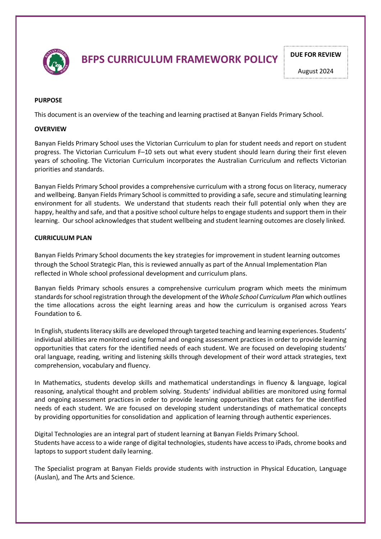

# **BFPS CURRICULUM FRAMEWORK POLICY** PULLE PULLER REVIEW

August 2024

#### **PURPOSE**

This document is an overview of the teaching and learning practised at Banyan Fields Primary School.

#### **OVERVIEW**

Banyan Fields Primary School uses the Victorian Curriculum to plan for student needs and report on student progress. The Victorian Curriculum F–10 sets out what every student should learn during their first eleven years of schooling. The Victorian Curriculum incorporates the Australian Curriculum and reflects Victorian priorities and standards.

Banyan Fields Primary School provides a comprehensive curriculum with a strong focus on literacy, numeracy and wellbeing. Banyan Fields Primary School is committed to providing a safe, secure and stimulating learning environment for all students. We understand that students reach their full potential only when they are happy, healthy and safe, and that a positive school culture helps to engage students and support them in their learning. Our school acknowledges that student wellbeing and student learning outcomes are closely linked.

#### **CURRICULUM PLAN**

Banyan Fields Primary School documents the key strategies for improvement in student learning outcomes through the School Strategic Plan, this is reviewed annually as part of the Annual Implementation Plan reflected in Whole school professional development and curriculum plans.

Banyan fields Primary schools ensures a comprehensive curriculum program which meets the minimum standards for school registration through the development of the *Whole School Curriculum Plan* which outlines the time allocations across the eight learning areas and how the curriculum is organised across Years Foundation to 6.

In English, students literacy skills are developed through targeted teaching and learning experiences. Students' individual abilities are monitored using formal and ongoing assessment practices in order to provide learning opportunities that caters for the identified needs of each student. We are focused on developing students' oral language, reading, writing and listening skills through development of their word attack strategies, text comprehension, vocabulary and fluency.

In Mathematics, students develop skills and mathematical understandings in fluency & language, logical reasoning, analytical thought and problem solving. Students' individual abilities are monitored using formal and ongoing assessment practices in order to provide learning opportunities that caters for the identified needs of each student. We are focused on developing student understandings of mathematical concepts by providing opportunities for consolidation and application of learning through authentic experiences.

Digital Technologies are an integral part of student learning at Banyan Fields Primary School. Students have accessto a wide range of digital technologies, students have accessto iPads, chrome books and laptops to support student daily learning.

The Specialist program at Banyan Fields provide students with instruction in Physical Education, Language (Auslan), and The Arts and Science.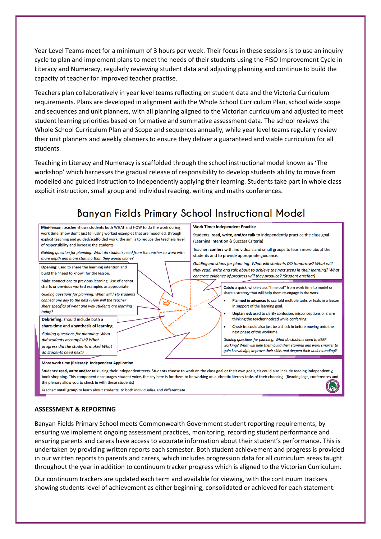Year Level Teams meet for a minimum of 3 hours per week. Their focus in these sessions is to use an inquiry cycle to plan and implement plans to meet the needs of their students using the FISO Improvement Cycle in Literacy and Numeracy, regularly reviewing student data and adjusting planning and continue to build the capacity of teacher for improved teacher practise.

Teachers plan collaboratively in year level teams reflecting on student data and the Victoria Curriculum requirements. Plans are developed in alignment with the Whole School Curriculum Plan, school wide scope and sequences and unit planners, with all planning aligned to the Victorian curriculum and adjusted to meet student learning priorities based on formative and summative assessment data. The school reviews the Whole School Curriculum Plan and Scope and sequences annually, while year level teams regularly review their unit planners and weekly planners to ensure they deliver a guaranteed and viable curriculum for all students.

Teaching in Literacy and Numeracy is scaffolded through the school instructional model known as 'The workshop' which harnesses the gradual release of responsibility to develop students ability to move from modelled and guided instruction to independently applying their learning. Students take part in whole class explicit instruction, small group and individual reading, writing and maths conferences.

#### Banyan Fields Primary School Instructional Model **Work Time: Independent Practice** Mini-lesson: teacher shows students both WHAT and HOW to do the work during work time. Show don't just tell using worked examples that are modelled, through Students: read, write, and/or talk to independently practice the class goal explicit teaching and guided/scaffolded work, the aim is to reduce the teachers level (Learning Intention & Success Criteria) of responsibility and increase the students. Teacher: confers with individuals and small groups to learn more about the Guiding question for planning: What do students need from the teacher to work with students and to provide appropriate guidance. more depth and more staming than they would alone? Guiding questions for planning: What will students DO tomorrow? What will Opening: used to share the learning intention and they read, write and talk about to achieve the next steps in their learning? What build the "need to know" for the lesson. concrete evidence of progress will they produce? (Student artefact) Make connections to previous learning. Use of anchor charts or previous worked examples as appropriate Catch: a quick, whole-class "time out" from work time to model or share a strategy that will help them re-engage in the work. Guiding auestions for planning: What will help students connect one day to the next? How will the teacher Planned in advance: to scaffold multiple tasks or texts in a lesson share specifics of what and why students are learning in support of the learning goal. todav? Unplanned: used to clarify confusion, misconceptions or share Debriefing: should include both a thinking the teacher noticed while conferring. share-time and a synthesis of learning Check in: could also just be a check in before moving onto the next phase of the worktime Guiding questions for planning: What did students accomplish? What Guiding questions for planning: What do students need to KEEP working? What will help them build their stamina and work smarter to progress did the students make? What gain knowledge, improve their skills and deepen their understanding? do students need next? More work time (Release): Independent Application Students: read, write and/or talk using their independent texts. Students choose to work on the class goal or their own goals, tis could also include reading independently. book shopping. This component encourages student voice, the key here is for them to be working on authentic literacy tasks of their choosing. (Reading logs, conferences and

the plenary allow you to check in with these students)

Teacher: small group to learn about students, to both individualise and differentiate.

#### **ASSESSMENT & REPORTING**

Banyan Fields Primary School meets Commonwealth Government student reporting requirements, by ensuring we implement ongoing assessment practices, monitoring, recording student performance and ensuring parents and carers have access to accurate information about their student's performance. This is undertaken by providing written reports each semester. Both student achievement and progress is provided in our written reports to parents and carers, which includes progression data for all curriculum areas taught throughout the year in addition to continuum tracker progress which is aligned to the Victorian Curriculum.

Our continuum trackers are updated each term and available for viewing, with the continuum trackers showing students level of achievement as either beginning, consolidated or achieved for each statement.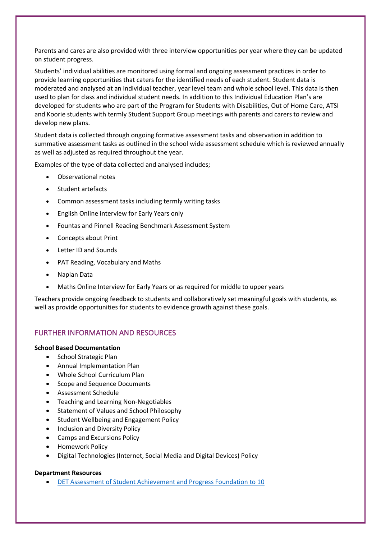Parents and cares are also provided with three interview opportunities per year where they can be updated on student progress.

Students' individual abilities are monitored using formal and ongoing assessment practices in order to provide learning opportunities that caters for the identified needs of each student. Student data is moderated and analysed at an individual teacher, year level team and whole school level. This data is then used to plan for class and individual student needs. In addition to this Individual Education Plan's are developed for students who are part of the Program for Students with Disabilities, Out of Home Care, ATSI and Koorie students with termly Student Support Group meetings with parents and carers to review and develop new plans.

Student data is collected through ongoing formative assessment tasks and observation in addition to summative assessment tasks as outlined in the school wide assessment schedule which is reviewed annually as well as adjusted as required throughout the year.

Examples of the type of data collected and analysed includes;

- Observational notes
- Student artefacts
- Common assessment tasks including termly writing tasks
- English Online interview for Early Years only
- Fountas and Pinnell Reading Benchmark Assessment System
- Concepts about Print
- Letter ID and Sounds
- PAT Reading, Vocabulary and Maths
- Naplan Data
- Maths Online Interview for Early Years or as required for middle to upper years

Teachers provide ongoing feedback to students and collaboratively set meaningful goals with students, as well as provide opportunities for students to evidence growth against these goals.

### FURTHER INFORMATION AND RESOURCES

#### **School Based Documentation**

- School Strategic Plan
- Annual Implementation Plan
- Whole School Curriculum Plan
- Scope and Sequence Documents
- Assessment Schedule
- Teaching and Learning Non-Negotiables
- Statement of Values and School Philosophy
- Student Wellbeing and Engagement Policy
- Inclusion and Diversity Policy
- Camps and Excursions Policy
- Homework Policy
- Digital Technologies (Internet, Social Media and Digital Devices) Policy

#### **Department Resources**

• DET Assessment of Student Achievement and Progress Foundation to 10